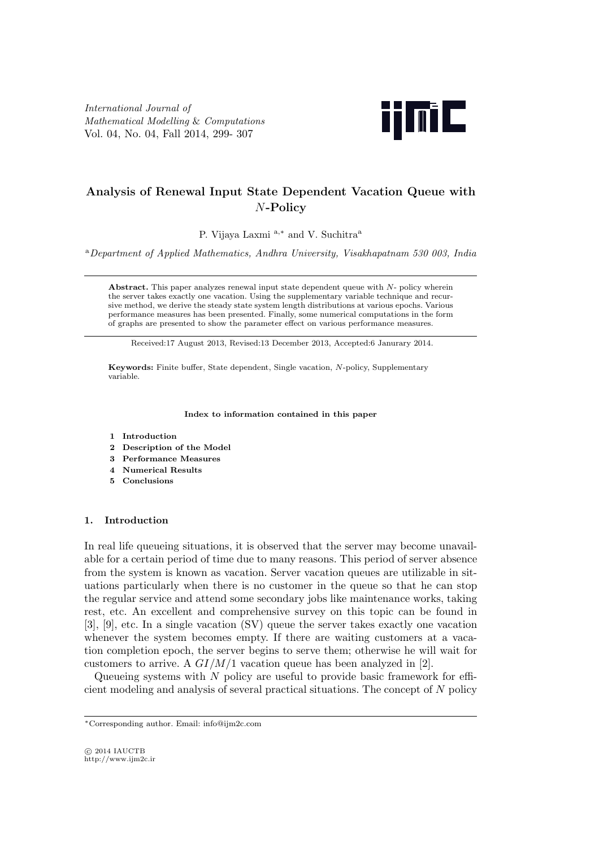*International Journal of Mathematical Modelling* & *Computations* Vol. 04, No. 04, Fall 2014, 299- 307



# **Analysis of Renewal Input State Dependent Vacation Queue with** *N***-Policy**

P. Vijaya Laxmi <sup>a</sup>*,<sup>∗</sup>* and V. Suchitra<sup>a</sup>

<sup>a</sup>*Department of Applied Mathematics, Andhra University, Visakhapatnam 530 003, India*

**Abstract.** This paper analyzes renewal input state dependent queue with *N*- policy wherein the server takes exactly one vacation. Using the supplementary variable technique and recursive method, we derive the steady state system length distributions at various epochs. Various performance measures has been presented. Finally, some numerical computations in the form of graphs are presented to show the parameter effect on various performance measures.

Received:17 August 2013, Revised:13 December 2013, Accepted:6 Janurary 2014.

**Keywords:** Finite buffer, State dependent, Single vacation, *N*-policy, Supplementary variable.

#### **Index to information contained in this paper**

- **1 Introduction**
- **2 Description of the Model**
- **3 Performance Measures**
- **4 Numerical Results**
- **5 Conclusions**

### **1. Introduction**

In real life queueing situations, it is observed that the server may become unavailable for a certain period of time due to many reasons. This period of server absence from the system is known as vacation. Server vacation queues are utilizable in situations particularly when there is no customer in the queue so that he can stop the regular service and attend some secondary jobs like maintenance works, taking rest, etc. An excellent and comprehensive survey on this topic can be found in [3], [9], etc. In a single vacation (SV) queue the server takes exactly one vacation whenever the system becomes empty. If there are waiting customers at a vacation completion epoch, the server begins to serve them; otherwise he will wait for customers to arrive. A *GI/M/*1 vacation queue has been analyzed in [2].

Queueing systems with *N* policy are useful to provide basic framework for efficient modeling and analysis of several practical situations. The concept of *N* policy

*<sup>∗</sup>*Corresponding author. Email: info@ijm2c.com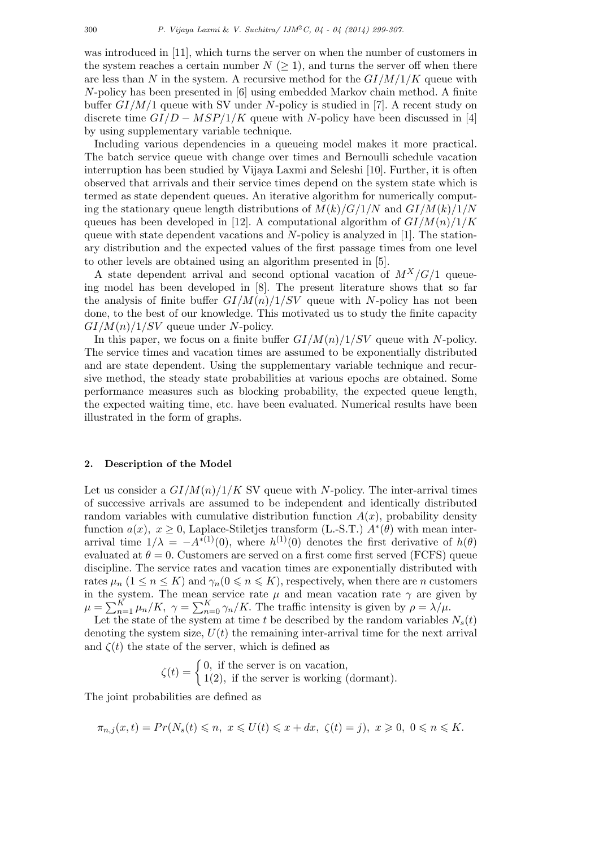was introduced in [11], which turns the server on when the number of customers in the system reaches a certain number  $N \geq 1$ , and turns the server off when there are less than N in the system. A recursive method for the  $GI/M/1/K$  queue with *N*-policy has been presented in [6] using embedded Markov chain method. A finite buffer *GI/M/*1 queue with SV under *N*-policy is studied in [7]. A recent study on discrete time *GI/D − MSP/*1*/K* queue with *N*-policy have been discussed in [4] by using supplementary variable technique.

Including various dependencies in a queueing model makes it more practical. The batch service queue with change over times and Bernoulli schedule vacation interruption has been studied by Vijaya Laxmi and Seleshi [10]. Further, it is often observed that arrivals and their service times depend on the system state which is termed as state dependent queues. An iterative algorithm for numerically computing the stationary queue length distributions of  $M(k)/G/1/N$  and  $GI/M(k)/1/N$ queues has been developed in [12]. A computational algorithm of  $GI/M(n)/1/K$ queue with state dependent vacations and *N*-policy is analyzed in [1]. The stationary distribution and the expected values of the first passage times from one level to other levels are obtained using an algorithm presented in [5].

A state dependent arrival and second optional vacation of  $M^X/G/1$  queueing model has been developed in [8]. The present literature shows that so far the analysis of finite buffer  $GI/M(n)/1/SV$  queue with *N*-policy has not been done, to the best of our knowledge. This motivated us to study the finite capacity *GI/M*(*n*)*/*1*/SV* queue under *N*-policy.

In this paper, we focus on a finite buffer  $GI/M(n)/1/SV$  queue with *N*-policy. The service times and vacation times are assumed to be exponentially distributed and are state dependent. Using the supplementary variable technique and recursive method, the steady state probabilities at various epochs are obtained. Some performance measures such as blocking probability, the expected queue length, the expected waiting time, etc. have been evaluated. Numerical results have been illustrated in the form of graphs.

### **2. Description of the Model**

Let us consider a  $GI/M(n)/1/K$  SV queue with *N*-policy. The inter-arrival times of successive arrivals are assumed to be independent and identically distributed random variables with cumulative distribution function  $A(x)$ , probability density function  $a(x)$ ,  $x \ge 0$ , Laplace-Stiletjes transform (L.-S.T.)  $A^*(\theta)$  with mean interarrival time  $1/\lambda = -A^{*(1)}(0)$ , where  $h^{(1)}(0)$  denotes the first derivative of  $h(\theta)$ evaluated at  $\theta = 0$ . Customers are served on a first come first served (FCFS) queue discipline. The service rates and vacation times are exponentially distributed with rates  $\mu_n$  ( $1 \leq n \leq K$ ) and  $\gamma_n (0 \leq n \leq K)$ , respectively, when there are *n* customers in the system. The mean service rate  $\mu$  and mean vacation rate  $\gamma$  are given by  $\mu = \sum_{n=1}^{K} \mu_n / K$ ,  $\gamma = \sum_{n=0}^{K} \gamma_n / K$ . The traffic intensity is given by  $\rho = \lambda / \mu$ .

Let the state of the system at time  $t$  be described by the random variables  $N_s(t)$ denoting the system size,  $U(t)$  the remaining inter-arrival time for the next arrival and  $\zeta(t)$  the state of the server, which is defined as

$$
\zeta(t) = \begin{cases} 0, \text{ if the server is on vacation,} \\ 1(2), \text{ if the server is working (dormant).} \end{cases}
$$

The joint probabilities are defined as

$$
\pi_{n,j}(x,t) = Pr(N_s(t) \leqslant n, \ x \leqslant U(t) \leqslant x + dx, \ \zeta(t) = j), \ x \geqslant 0, \ 0 \leqslant n \leqslant K.
$$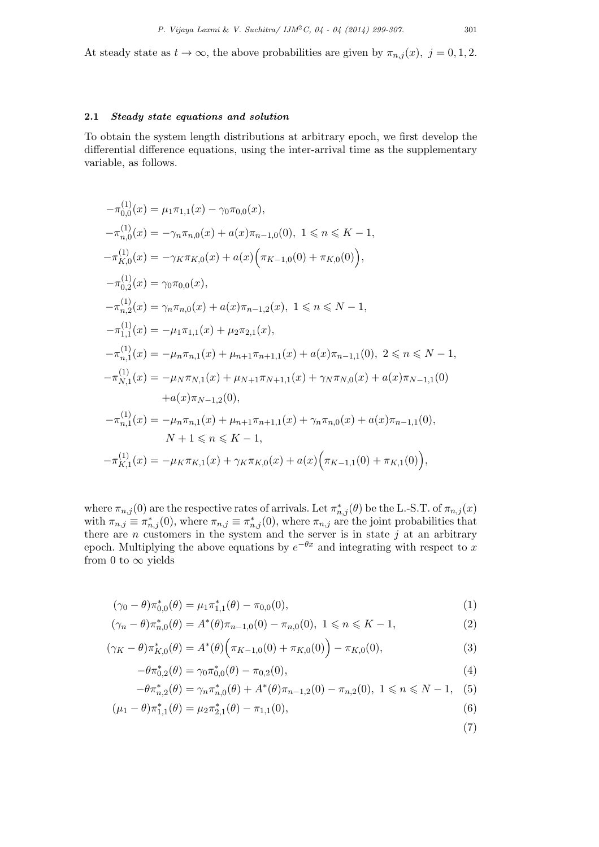At steady state as  $t \to \infty$ , the above probabilities are given by  $\pi_{n,j}(x)$ ,  $j = 0, 1, 2$ .

# **2.1** *Steady state equations and solution*

To obtain the system length distributions at arbitrary epoch, we first develop the differential difference equations, using the inter-arrival time as the supplementary variable, as follows.

$$
-\pi_{0,0}^{(1)}(x) = \mu_1 \pi_{1,1}(x) - \gamma_0 \pi_{0,0}(x),
$$
  
\n
$$
-\pi_{n,0}^{(1)}(x) = -\gamma_n \pi_{n,0}(x) + a(x) \pi_{n-1,0}(0), 1 \le n \le K - 1,
$$
  
\n
$$
-\pi_{K,0}^{(1)}(x) = -\gamma_K \pi_{K,0}(x) + a(x) (\pi_{K-1,0}(0) + \pi_{K,0}(0)),
$$
  
\n
$$
-\pi_{0,2}^{(1)}(x) = \gamma_0 \pi_{0,0}(x),
$$
  
\n
$$
-\pi_{n,2}^{(1)}(x) = \gamma_n \pi_{n,0}(x) + a(x) \pi_{n-1,2}(x), 1 \le n \le N - 1,
$$
  
\n
$$
-\pi_{1,1}^{(1)}(x) = -\mu_1 \pi_{1,1}(x) + \mu_2 \pi_{2,1}(x),
$$
  
\n
$$
-\pi_{n,1}^{(1)}(x) = -\mu_n \pi_{n,1}(x) + \mu_{n+1} \pi_{n+1,1}(x) + a(x) \pi_{n-1,1}(0), 2 \le n \le N - 1,
$$
  
\n
$$
-\pi_{N,1}^{(1)}(x) = -\mu_N \pi_{N,1}(x) + \mu_{N+1} \pi_{N+1,1}(x) + \gamma_N \pi_{N,0}(x) + a(x) \pi_{N-1,1}(0),
$$
  
\n
$$
+ a(x) \pi_{N-1,2}(0),
$$
  
\n
$$
-\pi_{n,1}^{(1)}(x) = -\mu_n \pi_{n,1}(x) + \mu_{n+1} \pi_{n+1,1}(x) + \gamma_n \pi_{n,0}(x) + a(x) \pi_{n-1,1}(0),
$$
  
\n
$$
N + 1 \le n \le K - 1,
$$
  
\n
$$
-\pi_{K,1}^{(1)}(x) = -\mu_K \pi_{K,1}(x) + \gamma_K \pi_{K,0}(x) + a(x) (\pi_{K-1,1}(0) + \pi_{K,1}(0)),
$$

where  $\pi_{n,j}(0)$  are the respective rates of arrivals. Let  $\pi_{n,j}^*(\theta)$  be the L.-S.T. of  $\pi_{n,j}(x)$ with  $\pi_{n,j} \equiv \pi^*_{n,j}(0)$ , where  $\pi_{n,j} \equiv \pi^*_{n,j}(0)$ , where  $\pi_{n,j}$  are the joint probabilities that there are *n* customers in the system and the server is in state *j* at an arbitrary epoch. Multiplying the above equations by  $e^{-\theta x}$  and integrating with respect to x from 0 to  $\infty$  yields

$$
(\gamma_0 - \theta) \pi_{0,0}^*(\theta) = \mu_1 \pi_{1,1}^*(\theta) - \pi_{0,0}(0), \qquad (1)
$$

$$
(\gamma_n - \theta) \pi_{n,0}^*(\theta) = A^*(\theta) \pi_{n-1,0}(0) - \pi_{n,0}(0), \ 1 \le n \le K - 1,
$$
\n(2)

$$
(\gamma_K - \theta) \pi_{K,0}^*(\theta) = A^*(\theta) \Big( \pi_{K-1,0}(0) + \pi_{K,0}(0) \Big) - \pi_{K,0}(0),
$$
\n(3)

$$
-\theta \pi_{0,2}^*(\theta) = \gamma_0 \pi_{0,0}^*(\theta) - \pi_{0,2}(0),\tag{4}
$$

$$
-\theta \pi_{n,2}^*(\theta) = \gamma_n \pi_{n,0}^*(\theta) + A^*(\theta) \pi_{n-1,2}(0) - \pi_{n,2}(0), \ 1 \le n \le N - 1, \quad (5)
$$

$$
(\mu_1 - \theta)\pi_{1,1}^*(\theta) = \mu_2 \pi_{2,1}^*(\theta) - \pi_{1,1}(0),
$$
\n(6)

(7)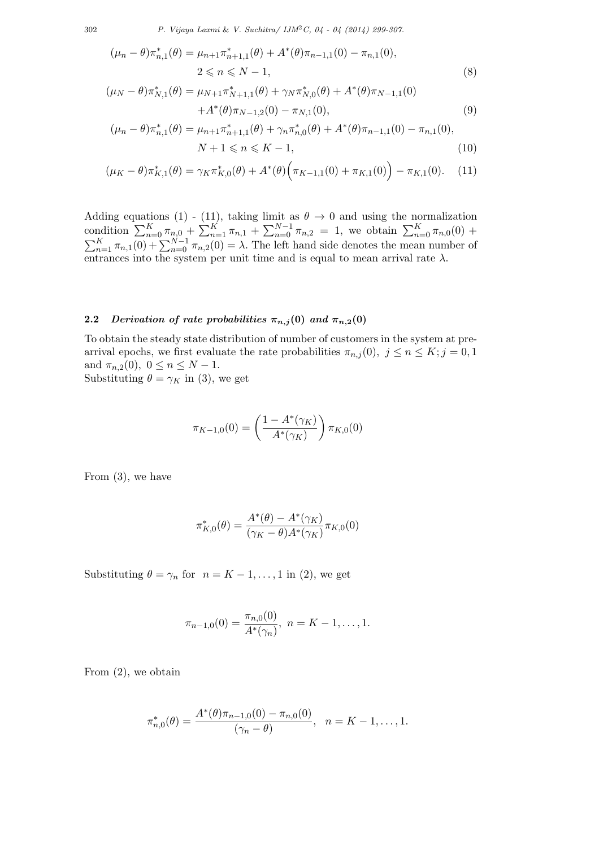302 *P. Vijaya Laxmi* & *V. Suchitra/ IJM*2*C, 04 - 04 (2014) 299-307.*

$$
(\mu_n - \theta) \pi_{n,1}^*(\theta) = \mu_{n+1} \pi_{n+1,1}^*(\theta) + A^*(\theta) \pi_{n-1,1}(0) - \pi_{n,1}(0),
$$
  
 
$$
2 \le n \le N - 1,
$$
 (8)

$$
(\mu_N - \theta) \pi_{N,1}^*(\theta) = \mu_{N+1} \pi_{N+1,1}^*(\theta) + \gamma_N \pi_{N,0}^*(\theta) + A^*(\theta) \pi_{N-1,1}(0) + A^*(\theta) \pi_{N-1,2}(0) - \pi_{N,1}(0),
$$
\n(9)

$$
(\mu_n - \theta) \pi_{n,1}^*(\theta) = \mu_{n+1} \pi_{n+1,1}^*(\theta) + \gamma_n \pi_{n,0}^*(\theta) + A^*(\theta) \pi_{n-1,1}(0) - \pi_{n,1}(0),
$$
  

$$
N + 1 \leq n \leq K - 1,
$$
 (10)

$$
(\mu_K - \theta) \pi_{K,1}^*(\theta) = \gamma_K \pi_{K,0}^*(\theta) + A^*(\theta) \Big( \pi_{K-1,1}(0) + \pi_{K,1}(0) \Big) - \pi_{K,1}(0). \tag{11}
$$

Adding equations (1) - (11), taking limit as  $\theta \to 0$  and using the normalization condition  $\sum_{n=0}^{K} \pi_{n,0} + \sum_{n=1}^{K} \pi_{n,1} + \sum_{n=0}^{N-1} \pi_{n,2} = 1$ , we obtain  $\sum_{n=0}^{K} \pi_{n,0}(0)$  +  $\sum_{n=1}^{K} \pi_{n,1}(0) + \sum_{n=0}^{N-1} \pi_{n,2}(0) = \lambda$ . The left hand side denotes the mean number of entrances into the system per unit time and is equal to mean arrival rate  $\lambda$ .

# **2.2** *Derivation of rate probabilities*  $\pi_{n,j}(0)$  *and*  $\pi_{n,2}(0)$

To obtain the steady state distribution of number of customers in the system at prearrival epochs, we first evaluate the rate probabilities  $\pi_{n,j}(0)$ ,  $j \leq n \leq K; j = 0, 1$ and  $\pi_{n,2}(0)$ ,  $0 \le n \le N-1$ . Substituting  $\theta = \gamma_K$  in (3), we get

$$
\pi_{K-1,0}(0) = \left(\frac{1 - A^*(\gamma_K)}{A^*(\gamma_K)}\right) \pi_{K,0}(0)
$$

From (3), we have

$$
\pi_{K,0}^*(\theta) = \frac{A^*(\theta) - A^*(\gamma_K)}{(\gamma_K - \theta)A^*(\gamma_K)}\pi_{K,0}(0)
$$

Substituting  $\theta = \gamma_n$  for  $n = K - 1, \dots, 1$  in (2), we get

$$
\pi_{n-1,0}(0) = \frac{\pi_{n,0}(0)}{A^*(\gamma_n)}, \ n = K - 1, \dots, 1.
$$

From (2), we obtain

$$
\pi_{n,0}^*(\theta) = \frac{A^*(\theta)\pi_{n-1,0}(0) - \pi_{n,0}(0)}{(\gamma_n - \theta)}, \quad n = K - 1, \dots, 1.
$$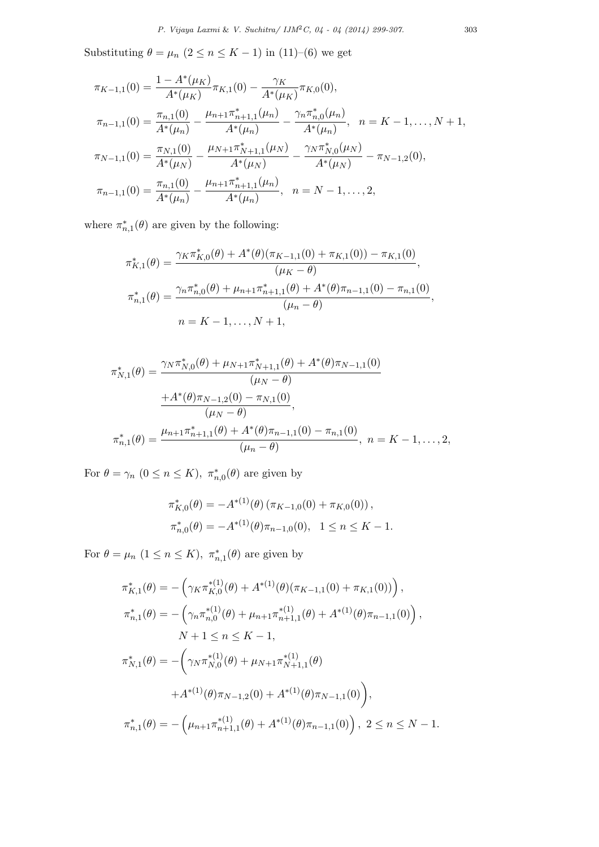Substituting  $\theta = \mu_n$  ( $2 \leq n \leq K - 1$ ) in (11)–(6) we get

$$
\pi_{K-1,1}(0) = \frac{1 - A^*(\mu_K)}{A^*(\mu_K)} \pi_{K,1}(0) - \frac{\gamma_K}{A^*(\mu_K)} \pi_{K,0}(0),
$$
  
\n
$$
\pi_{n-1,1}(0) = \frac{\pi_{n,1}(0)}{A^*(\mu_n)} - \frac{\mu_{n+1}\pi_{n+1,1}^*(\mu_n)}{A^*(\mu_n)} - \frac{\gamma_n\pi_{n,0}^*(\mu_n)}{A^*(\mu_n)}, \quad n = K-1, \dots, N+1,
$$
  
\n
$$
\pi_{N-1,1}(0) = \frac{\pi_{N,1}(0)}{A^*(\mu_N)} - \frac{\mu_{N+1}\pi_{N+1,1}^*(\mu_N)}{A^*(\mu_N)} - \frac{\gamma_N\pi_{N,0}^*(\mu_N)}{A^*(\mu_N)} - \pi_{N-1,2}(0),
$$
  
\n
$$
\pi_{n-1,1}(0) = \frac{\pi_{n,1}(0)}{A^*(\mu_n)} - \frac{\mu_{n+1}\pi_{n+1,1}^*(\mu_n)}{A^*(\mu_n)}, \quad n = N-1, \dots, 2,
$$

where  $\pi_{n,1}^*(\theta)$  are given by the following:

$$
\pi_{K,1}^*(\theta) = \frac{\gamma_K \pi_{K,0}^*(\theta) + A^*(\theta)(\pi_{K-1,1}(0) + \pi_{K,1}(0)) - \pi_{K,1}(0)}{(\mu_K - \theta)},
$$
  

$$
\pi_{n,1}^*(\theta) = \frac{\gamma_n \pi_{n,0}^*(\theta) + \mu_{n+1} \pi_{n+1,1}^*(\theta) + A^*(\theta)\pi_{n-1,1}(0) - \pi_{n,1}(0)}{(\mu_n - \theta)},
$$
  

$$
n = K - 1, ..., N + 1,
$$

$$
\pi_{N,1}^*(\theta) = \frac{\gamma_N \pi_{N,0}^*(\theta) + \mu_{N+1} \pi_{N+1,1}^*(\theta) + A^*(\theta) \pi_{N-1,1}(0)}{(\mu_N - \theta)}
$$

$$
\frac{+A^*(\theta) \pi_{N-1,2}(0) - \pi_{N,1}(0)}{(\mu_N - \theta)},
$$

$$
\pi_{n,1}^*(\theta) = \frac{\mu_{n+1} \pi_{n+1,1}^*(\theta) + A^*(\theta) \pi_{n-1,1}(0) - \pi_{n,1}(0)}{(\mu_n - \theta)}, \quad n = K - 1, ..., 2,
$$

For  $\theta = \gamma_n$   $(0 \le n \le K)$ ,  $\pi_{n,0}^*(\theta)$  are given by

$$
\pi_{K,0}^*(\theta) = -A^{*(1)}(\theta) (\pi_{K-1,0}(0) + \pi_{K,0}(0)),
$$
  

$$
\pi_{n,0}^*(\theta) = -A^{*(1)}(\theta) \pi_{n-1,0}(0), \quad 1 \le n \le K-1.
$$

For  $\theta = \mu_n$   $(1 \leq n \leq K)$ ,  $\pi_{n,1}^*(\theta)$  are given by

$$
\pi_{K,1}^{*}(\theta) = -\left(\gamma_{K}\pi_{K,0}^{*(1)}(\theta) + A^{*(1)}(\theta)(\pi_{K-1,1}(0) + \pi_{K,1}(0))\right),
$$
  
\n
$$
\pi_{n,1}^{*}(\theta) = -\left(\gamma_{n}\pi_{n,0}^{*(1)}(\theta) + \mu_{n+1}\pi_{n+1,1}^{*(1)}(\theta) + A^{*(1)}(\theta)\pi_{n-1,1}(0)\right),
$$
  
\n
$$
N + 1 \leq n \leq K - 1,
$$
  
\n
$$
\pi_{N,1}^{*}(\theta) = -\left(\gamma_{N}\pi_{N,0}^{*(1)}(\theta) + \mu_{N+1}\pi_{N+1,1}^{*(1)}(\theta)\right)
$$
  
\n
$$
+A^{*(1)}(\theta)\pi_{N-1,2}(0) + A^{*(1)}(\theta)\pi_{N-1,1}(0)\right),
$$
  
\n
$$
\pi_{n,1}^{*}(\theta) = -\left(\mu_{n+1}\pi_{n+1,1}^{*(1)}(\theta) + A^{*(1)}(\theta)\pi_{n-1,1}(0)\right), \quad 2 \leq n \leq N - 1.
$$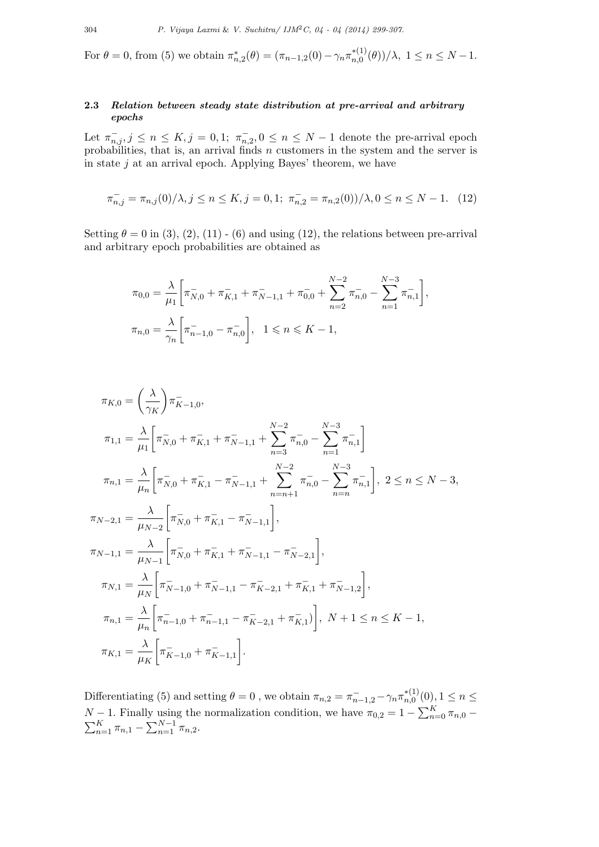For  $\theta = 0$ , from (5) we obtain  $\pi_{n,2}^*(\theta) = (\pi_{n-1,2}(0) - \gamma_n \pi_{n,0}^{*(1)}(\theta))/\lambda$ ,  $1 \le n \le N-1$ .

# **2.3** *Relation between steady state distribution at pre-arrival and arbitrary epochs*

Let  $\pi_{n,j}^{-}$ ,  $j \leq n \leq K$ ,  $j = 0,1$ ;  $\pi_{n,2}^{-}$ ,  $0 \leq n \leq N-1$  denote the pre-arrival epoch probabilities, that is, an arrival finds *n* customers in the system and the server is in state *j* at an arrival epoch. Applying Bayes' theorem, we have

$$
\pi_{n,j}^- = \pi_{n,j}(0)/\lambda, j \le n \le K, j = 0, 1; \ \pi_{n,2}^- = \pi_{n,2}(0))/\lambda, 0 \le n \le N - 1. \tag{12}
$$

Setting  $\theta = 0$  in (3), (2), (11) - (6) and using (12), the relations between pre-arrival and arbitrary epoch probabilities are obtained as

$$
\pi_{0,0} = \frac{\lambda}{\mu_1} \left[ \pi_{N,0}^- + \pi_{K,1}^- + \pi_{N-1,1}^- + \pi_{0,0}^- + \sum_{n=2}^{N-2} \pi_{n,0}^- - \sum_{n=1}^{N-3} \pi_{n,1}^- \right],
$$
  

$$
\pi_{n,0} = \frac{\lambda}{\gamma_n} \left[ \pi_{n-1,0}^- - \pi_{n,0}^- \right], \quad 1 \le n \le K-1,
$$

$$
\pi_{K,0} = \left(\frac{\lambda}{\gamma_K}\right) \pi_{K-1,0}^{-},
$$
\n
$$
\pi_{1,1} = \frac{\lambda}{\mu_1} \left[ \pi_{N,0}^{-} + \pi_{K,1}^{-} + \pi_{N-1,1}^{-} + \sum_{n=3}^{N-2} \pi_{n,0}^{-} - \sum_{n=1}^{N-3} \pi_{n,1}^{-} \right]
$$
\n
$$
\pi_{n,1} = \frac{\lambda}{\mu_n} \left[ \pi_{N,0}^{-} + \pi_{K,1}^{-} - \pi_{N-1,1}^{-} + \sum_{n=n+1}^{N-2} \pi_{n,0}^{-} - \sum_{n=n}^{N-3} \pi_{n,1}^{-} \right], \ 2 \le n \le N-3,
$$
\n
$$
\pi_{N-2,1} = \frac{\lambda}{\mu_{N-2}} \left[ \pi_{N,0}^{-} + \pi_{K,1}^{-} - \pi_{N-1,1}^{-} \right],
$$
\n
$$
\pi_{N-1,1} = \frac{\lambda}{\mu_{N-1}} \left[ \pi_{N,0}^{-} + \pi_{K,1}^{-} + \pi_{N-1,1}^{-} - \pi_{N-2,1}^{-} \right],
$$
\n
$$
\pi_{N,1} = \frac{\lambda}{\mu_N} \left[ \pi_{N-1,0}^{-} + \pi_{N-1,1}^{-} - \pi_{K-2,1}^{-} + \pi_{K,1}^{-} + \pi_{N-1,2}^{-} \right],
$$
\n
$$
\pi_{n,1} = \frac{\lambda}{\mu_n} \left[ \pi_{n-1,0}^{-} + \pi_{n-1,1}^{-} - \pi_{K-2,1}^{-} + \pi_{K,1}^{-} \right], \ N+1 \le n \le K-1,
$$
\n
$$
\pi_{K,1} = \frac{\lambda}{\mu_K} \left[ \pi_{K-1,0}^{-} + \pi_{K-1,1}^{-} \right].
$$

Differentiating (5) and setting  $\theta = 0$ , we obtain  $\pi_{n,2} = \pi_{n-1,2}^- - \gamma_n \pi_{n,0}^{*(1)}(0)$ ,  $1 \le n \le n$  $N-1$ . Finally using the normalization condition, we have  $\pi_{0,2} = 1 - \sum_{n=0}^{K} \pi_{n,0} - \sum_{n=1}^{K} \pi_{n,1} - \sum_{n=1}^{N-1} \pi_{n,2}$ .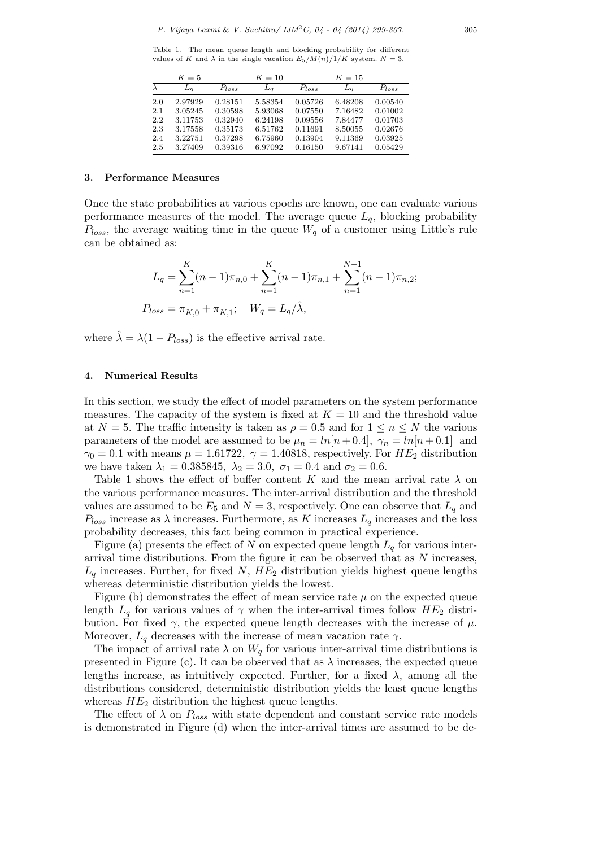Table 1. The mean queue length and blocking probability for different values of *K* and  $\lambda$  in the single vacation  $E_5/M(n)/1/K$  system.  $N=3$ .

|     | $K=5$   |            | $K=10$  |            | $K=15$  |            |
|-----|---------|------------|---------|------------|---------|------------|
|     | $L_a$   | $P_{loss}$ | $L_a$   | $P_{loss}$ | $L_q$   | $P_{loss}$ |
| 2.0 | 2.97929 | 0.28151    | 5.58354 | 0.05726    | 6.48208 | 0.00540    |
| 2.1 | 3.05245 | 0.30598    | 5.93068 | 0.07550    | 7.16482 | 0.01002    |
| 2.2 | 3.11753 | 0.32940    | 6.24198 | 0.09556    | 7.84477 | 0.01703    |
| 2.3 | 3.17558 | 0.35173    | 6.51762 | 0.11691    | 8.50055 | 0.02676    |
| 2.4 | 3.22751 | 0.37298    | 6.75960 | 0.13904    | 9.11369 | 0.03925    |
| 2.5 | 3.27409 | 0.39316    | 6.97092 | 0.16150    | 9.67141 | 0.05429    |

### **3. Performance Measures**

Once the state probabilities at various epochs are known, one can evaluate various performance measures of the model. The average queue  $L_q$ , blocking probability  $P_{loss}$ , the average waiting time in the queue  $W_q$  of a customer using Little's rule can be obtained as:

$$
L_q = \sum_{n=1}^{K} (n-1)\pi_{n,0} + \sum_{n=1}^{K} (n-1)\pi_{n,1} + \sum_{n=1}^{N-1} (n-1)\pi_{n,2};
$$
  

$$
P_{loss} = \pi_{K,0}^- + \pi_{K,1}^-; \quad W_q = L_q/\hat{\lambda},
$$

where  $\hat{\lambda} = \lambda (1 - P_{loss})$  is the effective arrival rate.

### **4. Numerical Results**

In this section, we study the effect of model parameters on the system performance measures. The capacity of the system is fixed at  $K = 10$  and the threshold value at  $N = 5$ . The traffic intensity is taken as  $\rho = 0.5$  and for  $1 \leq n \leq N$  the various parameters of the model are assumed to be  $\mu_n = ln[n+0.4], \gamma_n = ln[n+0.1]$  and  $\gamma_0 = 0.1$  with means  $\mu = 1.61722$ ,  $\gamma = 1.40818$ , respectively. For *HE*<sub>2</sub> distribution we have taken  $\lambda_1 = 0.385845$ ,  $\lambda_2 = 3.0$ ,  $\sigma_1 = 0.4$  and  $\sigma_2 = 0.6$ .

Table 1 shows the effect of buffer content *K* and the mean arrival rate  $\lambda$  on the various performance measures. The inter-arrival distribution and the threshold values are assumed to be  $E_5$  and  $N=3$ , respectively. One can observe that  $L_q$  and  $P_{loss}$  increase as  $\lambda$  increases. Furthermore, as *K* increases  $L_q$  increases and the loss probability decreases, this fact being common in practical experience.

Figure (a) presents the effect of *N* on expected queue length  $L_q$  for various interarrival time distributions. From the figure it can be observed that as *N* increases,  $L_q$  increases. Further, for fixed *N*,  $HE_2$  distribution yields highest queue lengths whereas deterministic distribution yields the lowest.

Figure (b) demonstrates the effect of mean service rate  $\mu$  on the expected queue length  $L_q$  for various values of  $\gamma$  when the inter-arrival times follow  $HE_2$  distribution. For fixed  $γ$ , the expected queue length decreases with the increase of  $μ$ . Moreover,  $L_q$  decreases with the increase of mean vacation rate  $\gamma$ .

The impact of arrival rate  $\lambda$  on  $W_q$  for various inter-arrival time distributions is presented in Figure (c). It can be observed that as  $\lambda$  increases, the expected queue lengths increase, as intuitively expected. Further, for a fixed  $\lambda$ , among all the distributions considered, deterministic distribution yields the least queue lengths whereas  $HE_2$  distribution the highest queue lengths.

The effect of  $\lambda$  on  $P_{loss}$  with state dependent and constant service rate models is demonstrated in Figure (d) when the inter-arrival times are assumed to be de-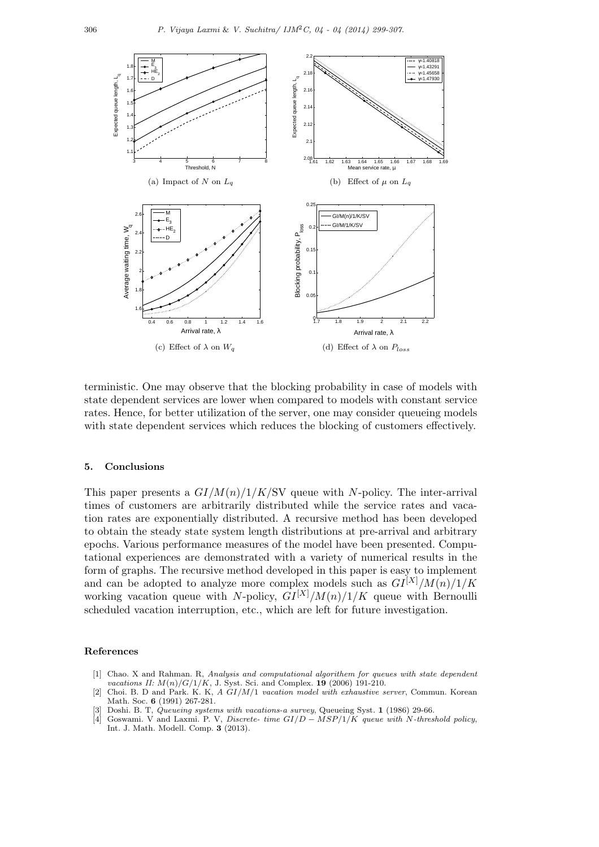

terministic. One may observe that the blocking probability in case of models with state dependent services are lower when compared to models with constant service rates. Hence, for better utilization of the server, one may consider queueing models with state dependent services which reduces the blocking of customers effectively.

# **5. Conclusions**

This paper presents a *GI/M*(*n*)*/*1*/K/*SV queue with *N*-policy. The inter-arrival times of customers are arbitrarily distributed while the service rates and vacation rates are exponentially distributed. A recursive method has been developed to obtain the steady state system length distributions at pre-arrival and arbitrary epochs. Various performance measures of the model have been presented. Computational experiences are demonstrated with a variety of numerical results in the form of graphs. The recursive method developed in this paper is easy to implement and can be adopted to analyze more complex models such as  $GI^{[X]}/M(n)/1/K$ working vacation queue with *N*-policy,  $GI^{[X]}/M(n)/1/K$  queue with Bernoulli scheduled vacation interruption, etc., which are left for future investigation.

### **References**

- [1] Chao. X and Rahman. R, *Analysis and computational algorithem for queues with state dependent vacations II: M*(*n*)*/G/*1*/K*, J. Syst. Sci. and Complex. **19** (2006) 191-210.
- [2] Choi. B. D and Park. K. K, *A GI/M/*1 *vacation model with exhaustive server*, Commun. Korean Math. Soc. **6** (1991) 267-281.
- [3] Doshi. B. T, *Queueing systems with vacations-a survey*, *Queueing Syst.* **1** (1986) 29-66. [4] Goswami. V and Laxmi. P. V, *Discrete- time GI/D MSP/1/K queue with N-thres*
- [4] Goswami. V and Laxmi. P. V, *Discrete- time GI/D − MSP/*1*/K queue with N-threshold policy*, Int. J. Math. Modell. Comp. **3** (2013).